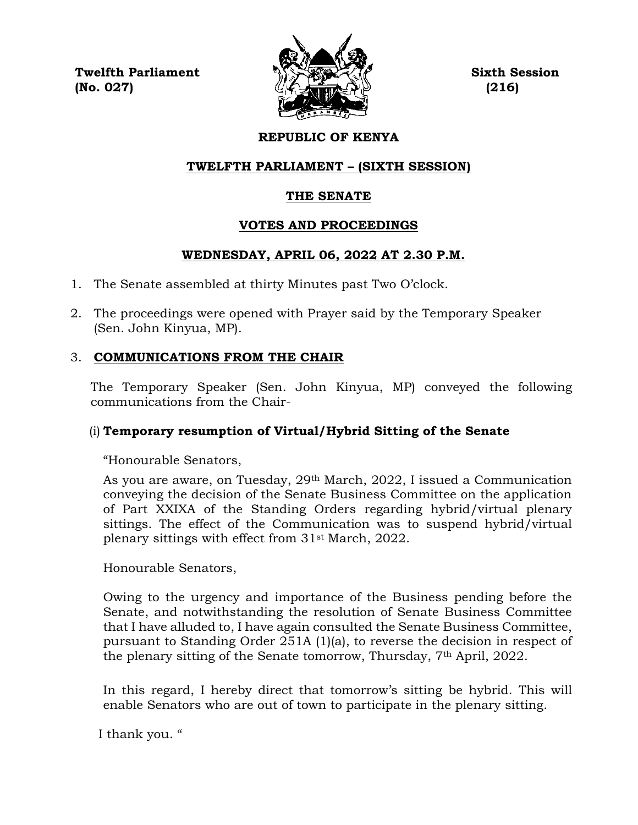**Twelfth Parliament Sixth Session**  $\langle \mathcal{L} \rangle$  (No. 027) (216)



# **REPUBLIC OF KENYA**

# **TWELFTH PARLIAMENT – (SIXTH SESSION)**

## **THE SENATE**

## **VOTES AND PROCEEDINGS**

# **WEDNESDAY, APRIL 06, 2022 AT 2.30 P.M.**

- 1. The Senate assembled at thirty Minutes past Two O'clock.
- 2. The proceedings were opened with Prayer said by the Temporary Speaker (Sen. John Kinyua, MP).

# 3. **COMMUNICATIONS FROM THE CHAIR**

The Temporary Speaker (Sen. John Kinyua, MP) conveyed the following communications from the Chair-

# (i) **Temporary resumption of Virtual/Hybrid Sitting of the Senate**

"Honourable Senators,

As you are aware, on Tuesday, 29th March, 2022, I issued a Communication conveying the decision of the Senate Business Committee on the application of Part XXIXA of the Standing Orders regarding hybrid/virtual plenary sittings. The effect of the Communication was to suspend hybrid/virtual plenary sittings with effect from 31st March, 2022.

Honourable Senators,

Owing to the urgency and importance of the Business pending before the Senate, and notwithstanding the resolution of Senate Business Committee that I have alluded to, I have again consulted the Senate Business Committee, pursuant to Standing Order 251A (1)(a), to reverse the decision in respect of the plenary sitting of the Senate tomorrow, Thursday, 7th April, 2022.

In this regard, I hereby direct that tomorrow's sitting be hybrid. This will enable Senators who are out of town to participate in the plenary sitting.

I thank you. "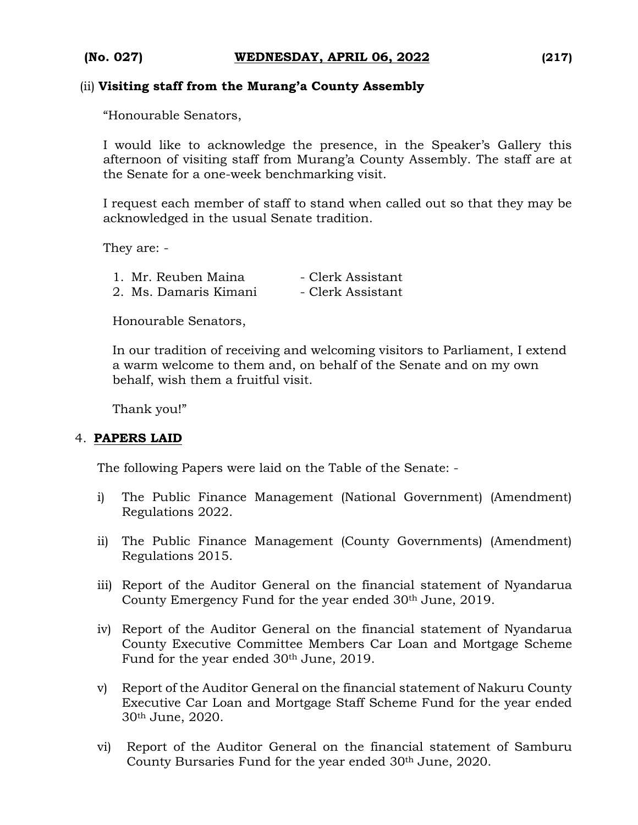#### (ii) **Visiting staff from the Murang'a County Assembly**

"Honourable Senators,

I would like to acknowledge the presence, in the Speaker's Gallery this afternoon of visiting staff from Murang'a County Assembly. The staff are at the Senate for a one-week benchmarking visit.

I request each member of staff to stand when called out so that they may be acknowledged in the usual Senate tradition.

They are: -

| 1. Mr. Reuben Maina   | - Clerk Assistant |
|-----------------------|-------------------|
| 2. Ms. Damaris Kimani | - Clerk Assistant |

Honourable Senators,

In our tradition of receiving and welcoming visitors to Parliament, I extend a warm welcome to them and, on behalf of the Senate and on my own behalf, wish them a fruitful visit.

Thank you!"

#### 4. **PAPERS LAID**

The following Papers were laid on the Table of the Senate: -

- i) The Public Finance Management (National Government) (Amendment) Regulations 2022.
- ii) The Public Finance Management (County Governments) (Amendment) Regulations 2015.
- iii) Report of the Auditor General on the financial statement of Nyandarua County Emergency Fund for the year ended 30<sup>th</sup> June, 2019.
- iv) Report of the Auditor General on the financial statement of Nyandarua County Executive Committee Members Car Loan and Mortgage Scheme Fund for the year ended 30th June, 2019.
- v) Report of the Auditor General on the financial statement of Nakuru County Executive Car Loan and Mortgage Staff Scheme Fund for the year ended 30th June, 2020.
- vi) Report of the Auditor General on the financial statement of Samburu County Bursaries Fund for the year ended 30th June, 2020.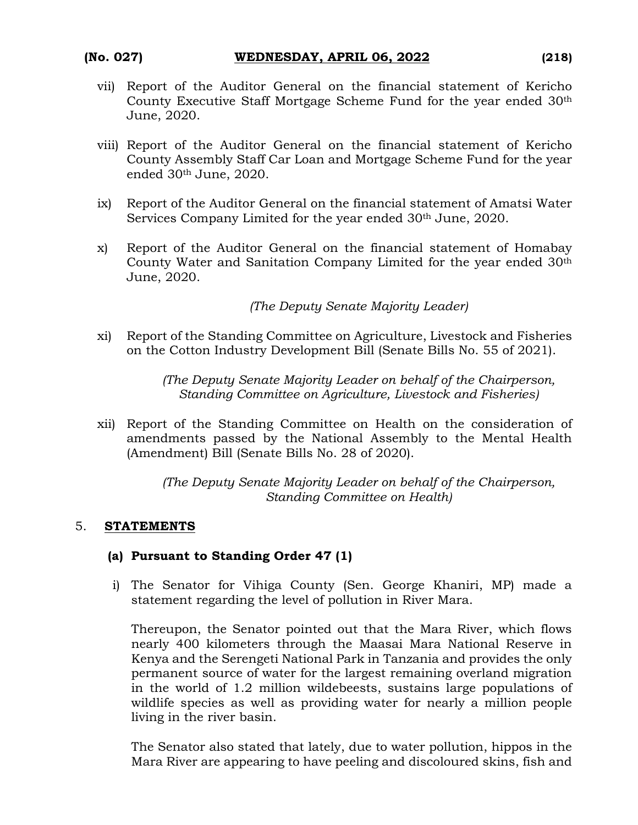- vii) Report of the Auditor General on the financial statement of Kericho County Executive Staff Mortgage Scheme Fund for the year ended 30th June, 2020.
- viii) Report of the Auditor General on the financial statement of Kericho County Assembly Staff Car Loan and Mortgage Scheme Fund for the year ended 30th June, 2020.
- ix) Report of the Auditor General on the financial statement of Amatsi Water Services Company Limited for the year ended 30<sup>th</sup> June, 2020.
- x) Report of the Auditor General on the financial statement of Homabay County Water and Sanitation Company Limited for the year ended 30th June, 2020.

*(The Deputy Senate Majority Leader)*

xi) Report of the Standing Committee on Agriculture, Livestock and Fisheries on the Cotton Industry Development Bill (Senate Bills No. 55 of 2021).

> *(The Deputy Senate Majority Leader on behalf of the Chairperson, Standing Committee on Agriculture, Livestock and Fisheries)*

xii) Report of the Standing Committee on Health on the consideration of amendments passed by the National Assembly to the Mental Health (Amendment) Bill (Senate Bills No. 28 of 2020).

> *(The Deputy Senate Majority Leader on behalf of the Chairperson, Standing Committee on Health)*

## 5. **STATEMENTS**

## **(a) Pursuant to Standing Order 47 (1)**

i) The Senator for Vihiga County (Sen. George Khaniri, MP) made a statement regarding the level of pollution in River Mara.

Thereupon, the Senator pointed out that the Mara River, which flows nearly 400 kilometers through the Maasai Mara National Reserve in Kenya and the Serengeti National Park in Tanzania and provides the only permanent source of water for the largest remaining overland migration in the world of 1.2 million wildebeests, sustains large populations of wildlife species as well as providing water for nearly a million people living in the river basin.

The Senator also stated that lately, due to water pollution, hippos in the Mara River are appearing to have peeling and discoloured skins, fish and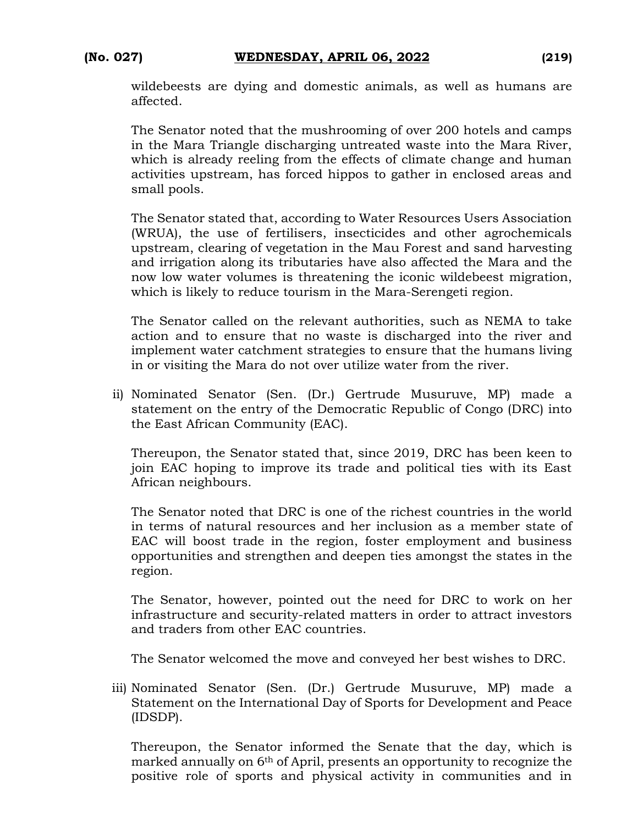wildebeests are dying and domestic animals, as well as humans are affected.

The Senator noted that the mushrooming of over 200 hotels and camps in the Mara Triangle discharging untreated waste into the Mara River, which is already reeling from the effects of climate change and human activities upstream, has forced hippos to gather in enclosed areas and small pools.

The Senator stated that, according to Water Resources Users Association (WRUA), the use of fertilisers, insecticides and other agrochemicals upstream, clearing of vegetation in the Mau Forest and sand harvesting and irrigation along its tributaries have also affected the Mara and the now low water volumes is threatening the iconic wildebeest migration, which is likely to reduce tourism in the Mara-Serengeti region.

The Senator called on the relevant authorities, such as NEMA to take action and to ensure that no waste is discharged into the river and implement water catchment strategies to ensure that the humans living in or visiting the Mara do not over utilize water from the river.

ii) Nominated Senator (Sen. (Dr.) Gertrude Musuruve, MP) made a statement on the entry of the Democratic Republic of Congo (DRC) into the East African Community (EAC).

Thereupon, the Senator stated that, since 2019, DRC has been keen to join EAC hoping to improve its trade and political ties with its East African neighbours.

The Senator noted that DRC is one of the richest countries in the world in terms of natural resources and her inclusion as a member state of EAC will boost trade in the region, foster employment and business opportunities and strengthen and deepen ties amongst the states in the region.

The Senator, however, pointed out the need for DRC to work on her infrastructure and security-related matters in order to attract investors and traders from other EAC countries.

The Senator welcomed the move and conveyed her best wishes to DRC.

iii) Nominated Senator (Sen. (Dr.) Gertrude Musuruve, MP) made a Statement on the International Day of Sports for Development and Peace (IDSDP).

Thereupon, the Senator informed the Senate that the day, which is marked annually on 6th of April, presents an opportunity to recognize the positive role of sports and physical activity in communities and in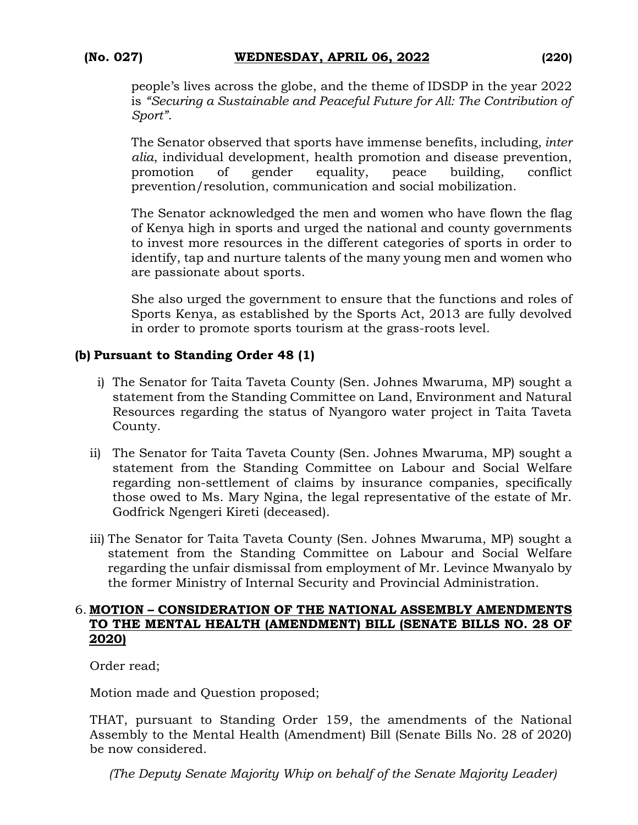people's lives across the globe, and the theme of IDSDP in the year 2022 is *"Securing a Sustainable and Peaceful Future for All: The Contribution of Sport"*.

The Senator observed that sports have immense benefits, including*, inter alia*, individual development, health promotion and disease prevention, promotion of gender equality, peace building, conflict prevention/resolution, communication and social mobilization.

The Senator acknowledged the men and women who have flown the flag of Kenya high in sports and urged the national and county governments to invest more resources in the different categories of sports in order to identify, tap and nurture talents of the many young men and women who are passionate about sports.

She also urged the government to ensure that the functions and roles of Sports Kenya, as established by the Sports Act, 2013 are fully devolved in order to promote sports tourism at the grass-roots level.

## **(b) Pursuant to Standing Order 48 (1)**

- i) The Senator for Taita Taveta County (Sen. Johnes Mwaruma, MP) sought a statement from the Standing Committee on Land, Environment and Natural Resources regarding the status of Nyangoro water project in Taita Taveta County.
- ii) The Senator for Taita Taveta County (Sen. Johnes Mwaruma, MP) sought a statement from the Standing Committee on Labour and Social Welfare regarding non-settlement of claims by insurance companies, specifically those owed to Ms. Mary Ngina, the legal representative of the estate of Mr. Godfrick Ngengeri Kireti (deceased).
- iii) The Senator for Taita Taveta County (Sen. Johnes Mwaruma, MP) sought a statement from the Standing Committee on Labour and Social Welfare regarding the unfair dismissal from employment of Mr. Levince Mwanyalo by the former Ministry of Internal Security and Provincial Administration.

#### 6. **MOTION – CONSIDERATION OF THE NATIONAL ASSEMBLY AMENDMENTS TO THE MENTAL HEALTH (AMENDMENT) BILL (SENATE BILLS NO. 28 OF 2020)**

Order read;

Motion made and Question proposed;

THAT, pursuant to Standing Order 159, the amendments of the National Assembly to the Mental Health (Amendment) Bill (Senate Bills No. 28 of 2020) be now considered.

*(The Deputy Senate Majority Whip on behalf of the Senate Majority Leader)*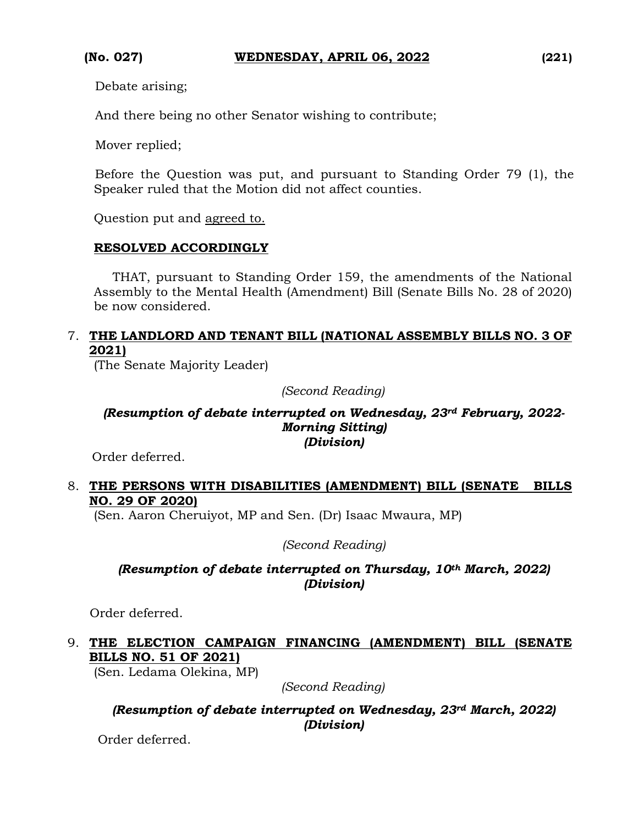Debate arising;

And there being no other Senator wishing to contribute;

Mover replied;

 Before the Question was put, and pursuant to Standing Order 79 (1), the Speaker ruled that the Motion did not affect counties.

Question put and agreed to.

#### **RESOLVED ACCORDINGLY**

THAT, pursuant to Standing Order 159, the amendments of the National Assembly to the Mental Health (Amendment) Bill (Senate Bills No. 28 of 2020) be now considered.

#### 7. **THE LANDLORD AND TENANT BILL (NATIONAL ASSEMBLY BILLS NO. 3 OF 2021)**

(The Senate Majority Leader)

*(Second Reading)*

#### *(Resumption of debate interrupted on Wednesday, 23rd February, 2022- Morning Sitting) (Division)*

Order deferred.

## 8. **THE PERSONS WITH DISABILITIES (AMENDMENT) BILL (SENATE BILLS NO. 29 OF 2020)**

(Sen. Aaron Cheruiyot, MP and Sen. (Dr) Isaac Mwaura, MP)

*(Second Reading)*

## *(Resumption of debate interrupted on Thursday, 10th March, 2022) (Division)*

Order deferred.

## 9. **THE ELECTION CAMPAIGN FINANCING (AMENDMENT) BILL (SENATE BILLS NO. 51 OF 2021)**

(Sen. Ledama Olekina, MP)

*(Second Reading)*

*(Resumption of debate interrupted on Wednesday, 23rd March, 2022) (Division)*

Order deferred.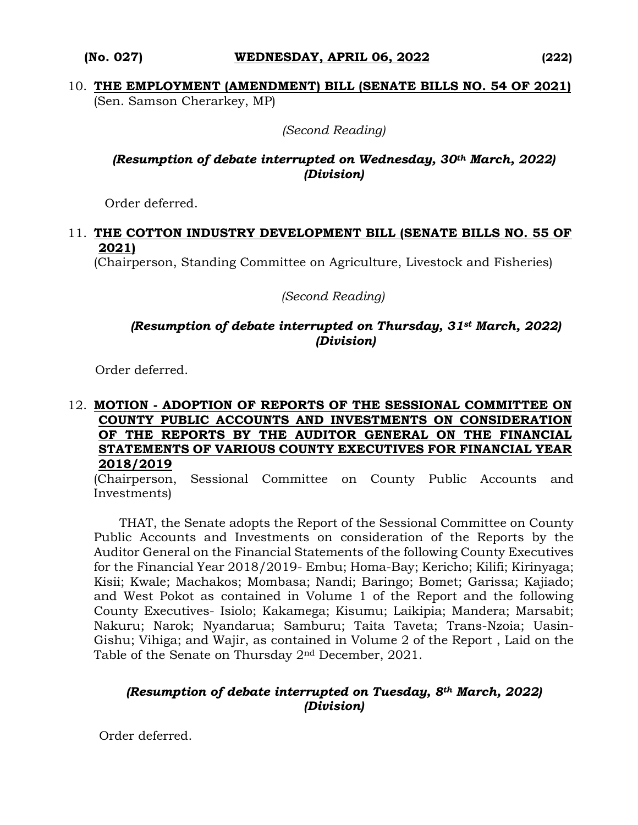*(Second Reading)*

## *(Resumption of debate interrupted on Wednesday, 30th March, 2022) (Division)*

Order deferred.

#### 11. **THE COTTON INDUSTRY DEVELOPMENT BILL (SENATE BILLS NO. 55 OF 2021)**

(Chairperson, Standing Committee on Agriculture, Livestock and Fisheries)

*(Second Reading)*

#### *(Resumption of debate interrupted on Thursday, 31st March, 2022) (Division)*

Order deferred.

#### 12. **MOTION - ADOPTION OF REPORTS OF THE SESSIONAL COMMITTEE ON COUNTY PUBLIC ACCOUNTS AND INVESTMENTS ON CONSIDERATION OF THE REPORTS BY THE AUDITOR GENERAL ON THE FINANCIAL STATEMENTS OF VARIOUS COUNTY EXECUTIVES FOR FINANCIAL YEAR 2018/2019**

(Chairperson, Sessional Committee on County Public Accounts and Investments)

THAT, the Senate adopts the Report of the Sessional Committee on County Public Accounts and Investments on consideration of the Reports by the Auditor General on the Financial Statements of the following County Executives for the Financial Year 2018/2019- Embu; Homa-Bay; Kericho; Kilifi; Kirinyaga; Kisii; Kwale; Machakos; Mombasa; Nandi; Baringo; Bomet; Garissa; Kajiado; and West Pokot as contained in Volume 1 of the Report and the following County Executives- Isiolo; Kakamega; Kisumu; Laikipia; Mandera; Marsabit; Nakuru; Narok; Nyandarua; Samburu; Taita Taveta; Trans-Nzoia; Uasin-Gishu; Vihiga; and Wajir, as contained in Volume 2 of the Report , Laid on the Table of the Senate on Thursday  $2<sup>nd</sup>$  December, 2021.

## *(Resumption of debate interrupted on Tuesday, 8th March, 2022) (Division)*

Order deferred.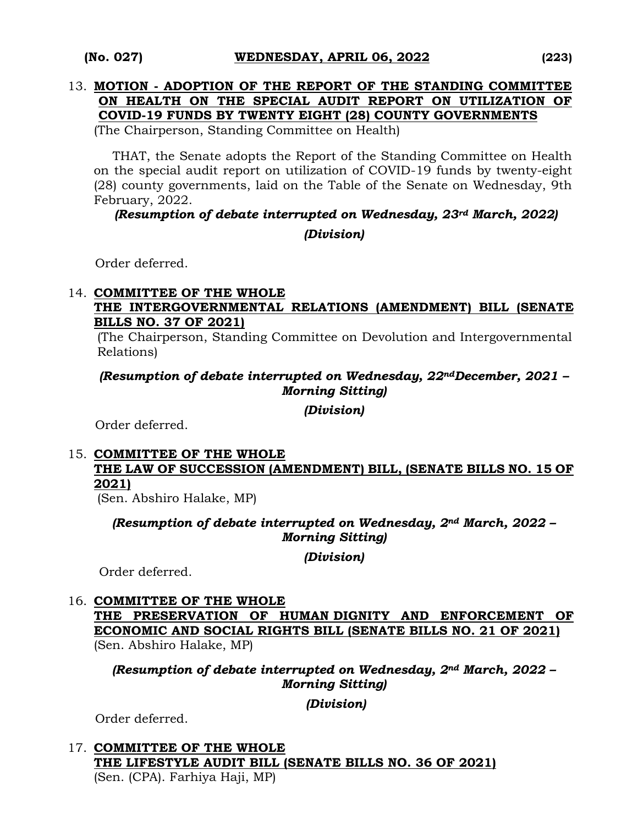#### 13. **MOTION - ADOPTION OF THE REPORT OF THE STANDING COMMITTEE ON HEALTH ON THE SPECIAL AUDIT REPORT ON UTILIZATION OF COVID-19 FUNDS BY TWENTY EIGHT (28) COUNTY GOVERNMENTS**

(The Chairperson, Standing Committee on Health)

THAT, the Senate adopts the Report of the Standing Committee on Health on the special audit report on utilization of COVID-19 funds by twenty-eight (28) county governments, laid on the Table of the Senate on Wednesday, 9th February, 2022.

*(Resumption of debate interrupted on Wednesday, 23rd March, 2022) (Division)*

Order deferred.

## 14. **COMMITTEE OF THE WHOLE THE INTERGOVERNMENTAL RELATIONS (AMENDMENT) BILL (SENATE BILLS NO. 37 OF 2021)**

(The Chairperson, Standing Committee on Devolution and Intergovernmental Relations)

## *(Resumption of debate interrupted on Wednesday, 22ndDecember, 2021 – Morning Sitting)*

*(Division)*

Order deferred.

## 15. **COMMITTEE OF THE WHOLE THE LAW OF SUCCESSION (AMENDMENT) BILL, (SENATE BILLS NO. 15 OF 2021)**

(Sen. Abshiro Halake, MP)

*(Resumption of debate interrupted on Wednesday, 2nd March, 2022 – Morning Sitting)*

*(Division)*

Order deferred.

#### 16. **COMMITTEE OF THE WHOLE THE PRESERVATION OF HUMAN DIGNITY AND ENFORCEMENT OF ECONOMIC AND SOCIAL RIGHTS BILL (SENATE BILLS NO. 21 OF 2021)**  (Sen. Abshiro Halake, MP)

*(Resumption of debate interrupted on Wednesday, 2nd March, 2022 – Morning Sitting)* 

*(Division)*

Order deferred.

17. **COMMITTEE OF THE WHOLE THE LIFESTYLE AUDIT BILL (SENATE BILLS NO. 36 OF 2021)**  (Sen. (CPA). Farhiya Haji, MP)